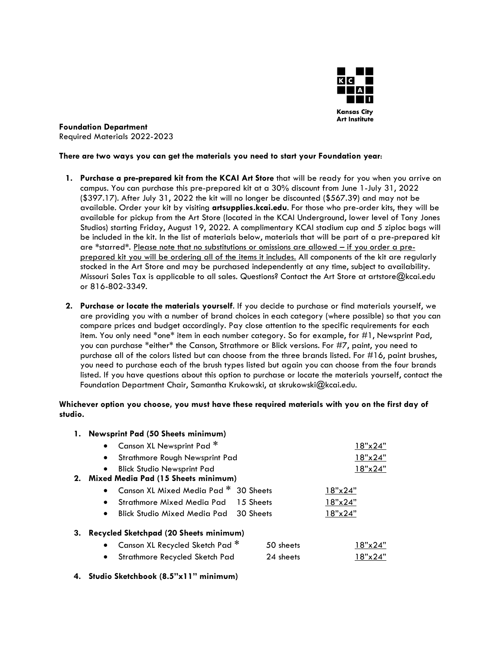

**Foundation Department** Required Materials 2022-2023

#### **There are two ways you can get the materials you need to start your Foundation year**:

- **1. Purchase a pre-prepared kit from the KCAI Art Store** that will be ready for you when you arrive on campus. You can purchase this pre-prepared kit at a 30% discount from June 1-July 31, 2022 (\$397.17). After July 31, 2022 the kit will no longer be discounted (\$567.39) and may not be available. Order your kit by visiting **artsupplies.kcai.edu**. For those who pre-order kits, they will be available for pickup from the Art Store (located in the KCAI Underground, lower level of Tony Jones Studios) starting Friday, August 19, 2022. A complimentary KCAI stadium cup and 5 ziploc bags will be included in the kit. In the list of materials below, materials that will be part of a pre-prepared kit are **\***starred**\***. Please note that no substitutions or omissions are allowed – if you order a preprepared kit you will be ordering all of the items it includes. All components of the kit are regularly stocked in the Art Store and may be purchased independently at any time, subject to availability. Missouri Sales Tax is applicable to all sales. Questions? Contact the Art Store at [artstore@kcai.edu](mailto:artstore@kcai.edu) or 816-802-3349.
- **2. Purchase or locate the materials yourself**. If you decide to purchase or find materials yourself, we are providing you with a number of brand choices in each category (where possible) so that you can compare prices and budget accordingly. Pay close attention to the specific requirements for each item. You only need \*one\* item in each number category. So for example, for #1, Newsprint Pad, you can purchase \*either\* the Canson, Strathmore or Blick versions. For #7, paint, you need to purchase all of the colors listed but can choose from the three brands listed. For  $#16$ , paint brushes, you need to purchase each of the brush types listed but again you can choose from the four brands listed. If you have questions about this option to purchase or locate the materials yourself, contact the Foundation Department Chair, Samantha Krukowski, at skrukowski@kcai.edu.

#### **Whichever option you choose, you must have these required materials with you on the first day of studio.**

# **1. Newsprint Pad (50 Sheets minimum)** • Canson XL Newsprint Pad \* • Strathmore Rough Newsprint Pad • Blick Studio Newsprint Pad 18"x24" **2. Mixed Media Pad (15 Sheets minimum)** • Canson XL Mixed Media Pad **\*** 30 Sheets 18"x24" • Strathmore Mixed Media Pad 15 Sheets 18"x24" • Blick Studio Mixed Media Pad 30 Sheets 18"x24" **3. Recycled Sketchpad (20 Sheets minimum)** • Canson XL Recycled Sketch Pad **\*** 50 sheets 18"x24" • Strathmore Recycled Sketch Pad 24 sheets 18"x24"

**4. Studio Sketchbook (8.5"x11" minimum)**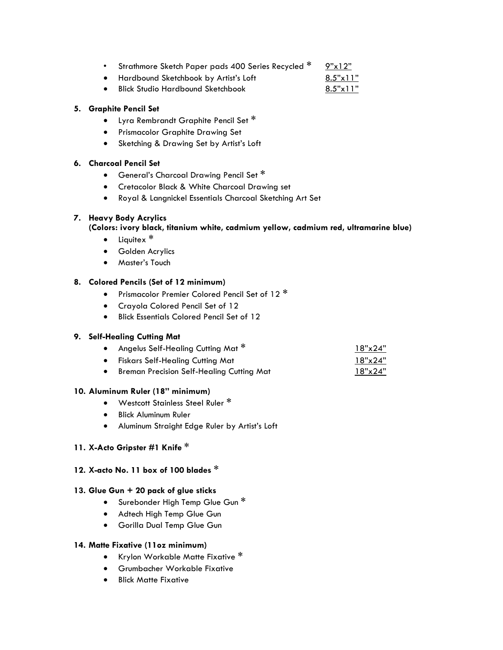- Strathmore Sketch Paper pads 400 Series Recycled **\*** 9"x12"
- Hardbound Sketchbook by Artist's Loft 6.5"x11"
- Blick Studio Hardbound Sketchbook 8.5"x11"

# **5. Graphite Pencil Set**

- Lyra Rembrandt Graphite Pencil Set **\***
- Prismacolor Graphite Drawing Set
- Sketching & Drawing Set by Artist's Loft

## **6. Charcoal Pencil Set**

- General's Charcoal Drawing Pencil Set **\***
- Cretacolor Black & White Charcoal Drawing set
- Royal & Langnickel Essentials Charcoal Sketching Art Set

# **7. Heavy Body Acrylics**

# **(Colors: ivory black, titanium white, cadmium yellow, cadmium red, ultramarine blue)**

- Liquitex **\***
- Golden Acrylics
- Master's Touch

# **8. Colored Pencils (Set of 12 minimum)**

- Prismacolor Premier Colored Pencil Set of 12 **\***
- Crayola Colored Pencil Set of 12
- Blick Essentials Colored Pencil Set of 12

## **9. Self-Healing Cutting Mat**

|           | Angelus Self-Healing Cutting Mat $^\ast$ | 18"x24" |
|-----------|------------------------------------------|---------|
| $\bullet$ | Fiskars Self-Healing Cutting Mat         | 18"x24" |

• Breman Precision Self-Healing Cutting Mat 18"x24"

## **10. Aluminum Ruler (18" minimum)**

- Westcott Stainless Steel Ruler **\***
- Blick Aluminum Ruler
- Aluminum Straight Edge Ruler by Artist's Loft

## **11. X-Acto Gripster #1 Knife \***

# **12. X-acto No. 11 box of 100 blades \***

## **13. Glue Gun + 20 pack of glue sticks**

- Surebonder High Temp Glue Gun **\***
- Adtech High Temp Glue Gun
- Gorilla Dual Temp Glue Gun

## **14. Matte Fixative (11oz minimum)**

- Krylon Workable Matte Fixative **\***
- Grumbacher Workable Fixative
- Blick Matte Fixative